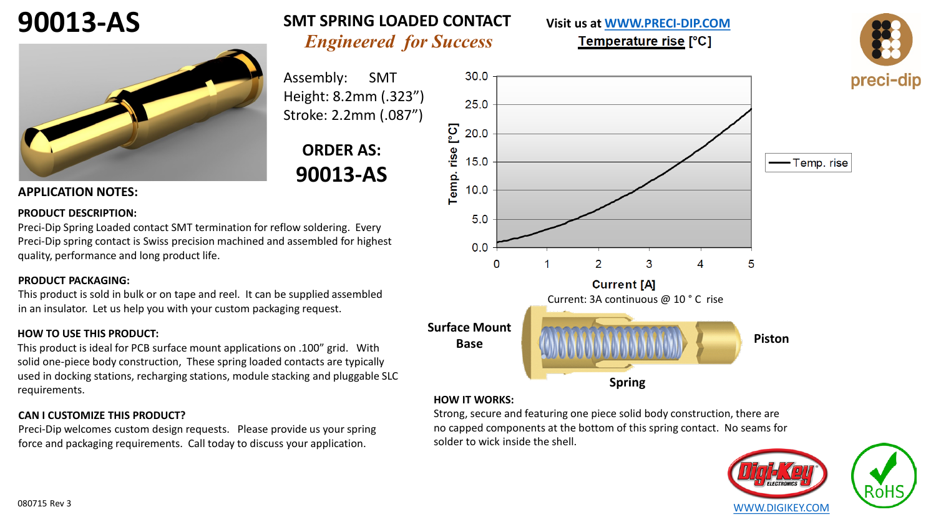



### **90013-AS SMT SPRING LOADED CONTACT** *Engineered for Success*

Assembly: SMT Height: 8.2mm (.323") Stroke: 2.2mm (.087")

## **ORDER AS: 90013-AS**

#### **APPLICATION NOTES:**

#### **PRODUCT DESCRIPTION:**

Preci-Dip Spring Loaded contact SMT termination for reflow soldering. Every Preci-Dip spring contact is Swiss precision machined and assembled for highest quality, performance and long product life.

#### **PRODUCT PACKAGING:**

This product is sold in bulk or on tape and reel. It can be supplied assembled in an insulator. Let us help you with your custom packaging request.

#### **HOW TO USE THIS PRODUCT:**

This product is ideal for PCB surface mount applications on .100" grid. With solid one-piece body construction, These spring loaded contacts are typically used in docking stations, recharging stations, module stacking and pluggable SLC requirements.

#### **CAN I CUSTOMIZE THIS PRODUCT?**

Preci-Dip welcomes custom design requests. Please provide us your spring force and packaging requirements. Call today to discuss your application.



**Visit us at [WWW.PRECI-DIP.COM](http://www.precidip.com/Default.aspx)**

Temperature rise [°C]

#### **HOW IT WORKS:**

Strong, secure and featuring one piece solid body construction, there are no capped components at the bottom of this spring contact. No seams for solder to wick inside the shell.